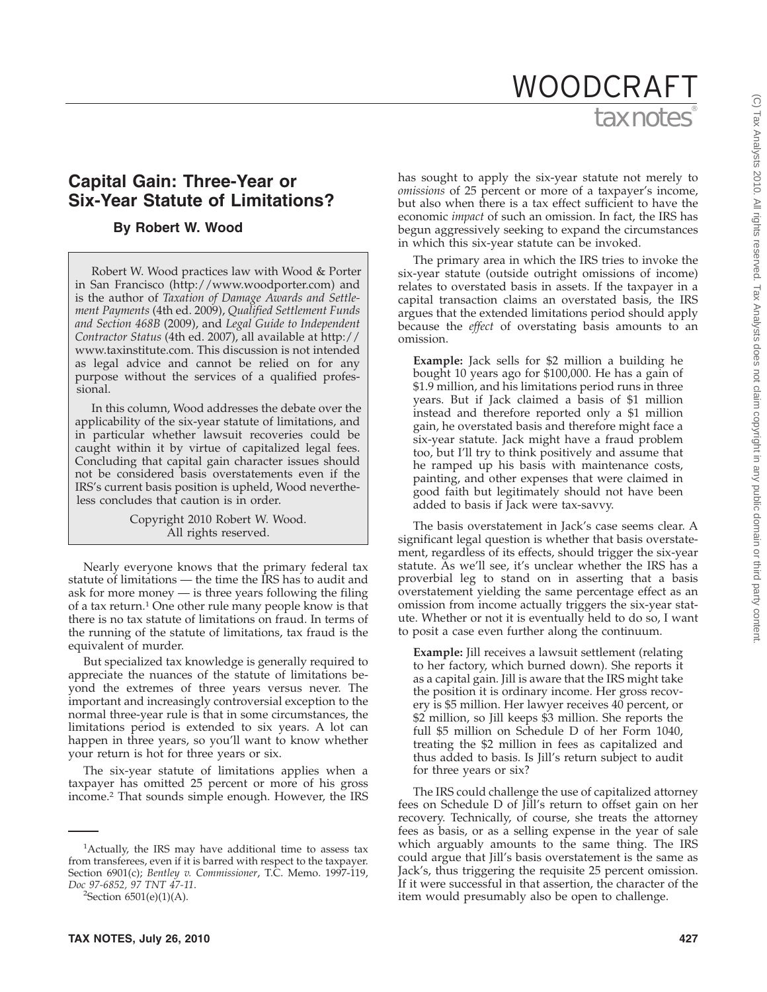# tax notes WOODCRAFT

# **Capital Gain: Three-Year or Six-Year Statute of Limitations?**

### **By Robert W. Wood**

Robert W. Wood practices law with Wood & Porter in San Francisco (http://www.woodporter.com) and is the author of *Taxation of Damage Awards and Settlement Payments* (4th ed. 2009), *Qualified Settlement Funds and Section 468B* (2009), and *Legal Guide to Independent Contractor Status* (4th ed. 2007), all available at http:// www.taxinstitute.com. This discussion is not intended as legal advice and cannot be relied on for any purpose without the services of a qualified professional.

In this column, Wood addresses the debate over the applicability of the six-year statute of limitations, and in particular whether lawsuit recoveries could be caught within it by virtue of capitalized legal fees. Concluding that capital gain character issues should not be considered basis overstatements even if the IRS's current basis position is upheld, Wood nevertheless concludes that caution is in order.

> Copyright 2010 Robert W. Wood. All rights reserved.

Nearly everyone knows that the primary federal tax statute of limitations — the time the IRS has to audit and ask for more money — is three years following the filing of a tax return.<sup>1</sup> One other rule many people know is that there is no tax statute of limitations on fraud. In terms of the running of the statute of limitations, tax fraud is the equivalent of murder.

But specialized tax knowledge is generally required to appreciate the nuances of the statute of limitations beyond the extremes of three years versus never. The important and increasingly controversial exception to the normal three-year rule is that in some circumstances, the limitations period is extended to six years. A lot can happen in three years, so you'll want to know whether your return is hot for three years or six.

The six-year statute of limitations applies when a taxpayer has omitted 25 percent or more of his gross income.2 That sounds simple enough. However, the IRS

 ${}^{2}$ Section 6501(e)(1)(A).

has sought to apply the six-year statute not merely to *omissions* of 25 percent or more of a taxpayer's income, but also when there is a tax effect sufficient to have the economic *impact* of such an omission. In fact, the IRS has begun aggressively seeking to expand the circumstances in which this six-year statute can be invoked.

The primary area in which the IRS tries to invoke the six-year statute (outside outright omissions of income) relates to overstated basis in assets. If the taxpayer in a capital transaction claims an overstated basis, the IRS argues that the extended limitations period should apply because the *effect* of overstating basis amounts to an omission.

**Example:** Jack sells for \$2 million a building he bought 10 years ago for \$100,000. He has a gain of \$1.9 million, and his limitations period runs in three years. But if Jack claimed a basis of \$1 million instead and therefore reported only a \$1 million gain, he overstated basis and therefore might face a six-year statute. Jack might have a fraud problem too, but I'll try to think positively and assume that he ramped up his basis with maintenance costs, painting, and other expenses that were claimed in good faith but legitimately should not have been added to basis if Jack were tax-savvy.

The basis overstatement in Jack's case seems clear. A significant legal question is whether that basis overstatement, regardless of its effects, should trigger the six-year statute. As we'll see, it's unclear whether the IRS has a proverbial leg to stand on in asserting that a basis overstatement yielding the same percentage effect as an omission from income actually triggers the six-year statute. Whether or not it is eventually held to do so, I want to posit a case even further along the continuum.

**Example:** Jill receives a lawsuit settlement (relating to her factory, which burned down). She reports it as a capital gain. Jill is aware that the IRS might take the position it is ordinary income. Her gross recovery is \$5 million. Her lawyer receives 40 percent, or \$2 million, so Jill keeps \$3 million. She reports the full \$5 million on Schedule D of her Form 1040, treating the \$2 million in fees as capitalized and thus added to basis. Is Jill's return subject to audit for three years or six?

The IRS could challenge the use of capitalized attorney fees on Schedule D of Jill's return to offset gain on her recovery. Technically, of course, she treats the attorney fees as basis, or as a selling expense in the year of sale which arguably amounts to the same thing. The IRS could argue that Jill's basis overstatement is the same as Jack's, thus triggering the requisite 25 percent omission. If it were successful in that assertion, the character of the item would presumably also be open to challenge.

<sup>&</sup>lt;sup>1</sup>Actually, the IRS may have additional time to assess tax from transferees, even if it is barred with respect to the taxpayer. Section 6901(c); *Bentley v. Commissioner*, T.C. Memo. 1997-119, *Doc 97-6852, 97 TNT 47-11*. <sup>2</sup>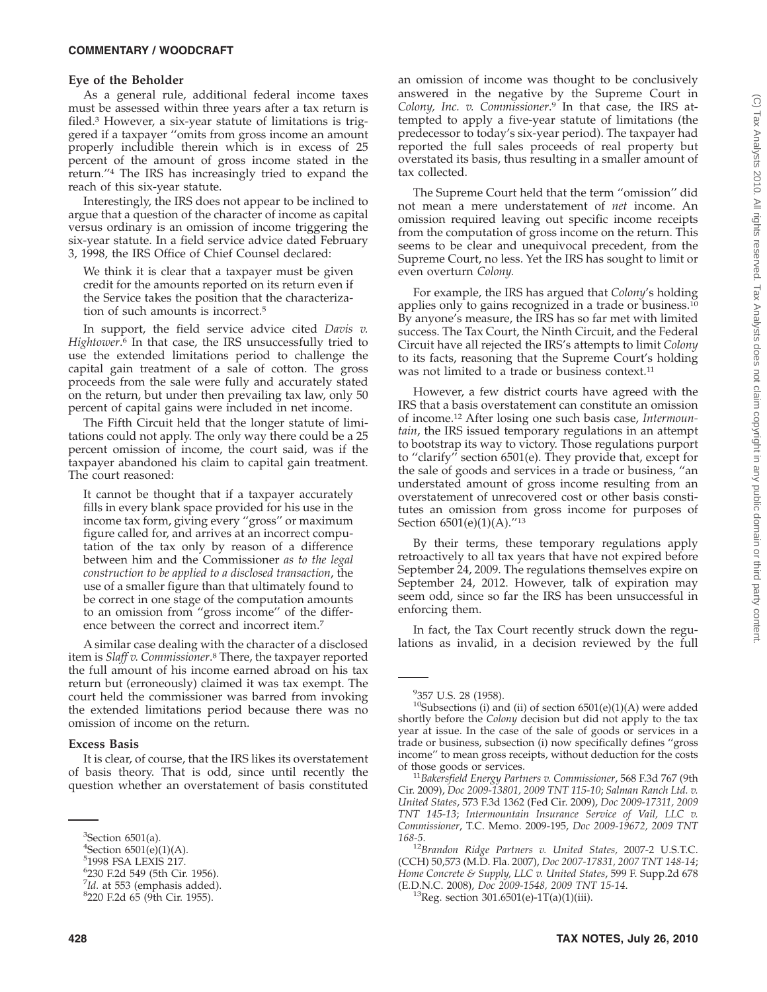#### **COMMENTARY / WOODCRAFT**

#### **Eye of the Beholder**

As a general rule, additional federal income taxes must be assessed within three years after a tax return is filed.3 However, a six-year statute of limitations is triggered if a taxpayer ''omits from gross income an amount properly includible therein which is in excess of 25 percent of the amount of gross income stated in the return.''4 The IRS has increasingly tried to expand the reach of this six-year statute.

Interestingly, the IRS does not appear to be inclined to argue that a question of the character of income as capital versus ordinary is an omission of income triggering the six-year statute. In a field service advice dated February 3, 1998, the IRS Office of Chief Counsel declared:

We think it is clear that a taxpayer must be given credit for the amounts reported on its return even if the Service takes the position that the characterization of such amounts is incorrect.5

In support, the field service advice cited *Davis v. Hightower*. <sup>6</sup> In that case, the IRS unsuccessfully tried to use the extended limitations period to challenge the capital gain treatment of a sale of cotton. The gross proceeds from the sale were fully and accurately stated on the return, but under then prevailing tax law, only 50 percent of capital gains were included in net income.

The Fifth Circuit held that the longer statute of limitations could not apply. The only way there could be a 25 percent omission of income, the court said, was if the taxpayer abandoned his claim to capital gain treatment. The court reasoned:

It cannot be thought that if a taxpayer accurately fills in every blank space provided for his use in the income tax form, giving every ''gross'' or maximum figure called for, and arrives at an incorrect computation of the tax only by reason of a difference between him and the Commissioner *as to the legal construction to be applied to a disclosed transaction*, the use of a smaller figure than that ultimately found to be correct in one stage of the computation amounts to an omission from ''gross income'' of the difference between the correct and incorrect item.7

A similar case dealing with the character of a disclosed item is *Slaff v. Commissioner*. <sup>8</sup> There, the taxpayer reported the full amount of his income earned abroad on his tax return but (erroneously) claimed it was tax exempt. The court held the commissioner was barred from invoking the extended limitations period because there was no omission of income on the return.

## **Excess Basis**

It is clear, of course, that the IRS likes its overstatement of basis theory. That is odd, since until recently the question whether an overstatement of basis constituted

an omission of income was thought to be conclusively answered in the negative by the Supreme Court in *Colony, Inc. v. Commissioner*. <sup>9</sup> In that case, the IRS attempted to apply a five-year statute of limitations (the predecessor to today's six-year period). The taxpayer had reported the full sales proceeds of real property but overstated its basis, thus resulting in a smaller amount of tax collected.

The Supreme Court held that the term ''omission'' did not mean a mere understatement of *net* income. An omission required leaving out specific income receipts from the computation of gross income on the return. This seems to be clear and unequivocal precedent, from the Supreme Court, no less. Yet the IRS has sought to limit or even overturn *Colony.*

For example, the IRS has argued that *Colony*'s holding applies only to gains recognized in a trade or business.<sup>10</sup> By anyone's measure, the IRS has so far met with limited success. The Tax Court, the Ninth Circuit, and the Federal Circuit have all rejected the IRS's attempts to limit *Colony* to its facts, reasoning that the Supreme Court's holding was not limited to a trade or business context.<sup>11</sup>

However, a few district courts have agreed with the IRS that a basis overstatement can constitute an omission of income.12 After losing one such basis case, *Intermountain*, the IRS issued temporary regulations in an attempt to bootstrap its way to victory. Those regulations purport to ''clarify'' section 6501(e). They provide that, except for the sale of goods and services in a trade or business, ''an understated amount of gross income resulting from an overstatement of unrecovered cost or other basis constitutes an omission from gross income for purposes of Section 6501(e)(1)(A).''13

By their terms, these temporary regulations apply retroactively to all tax years that have not expired before September 24, 2009. The regulations themselves expire on September 24, 2012. However, talk of expiration may seem odd, since so far the IRS has been unsuccessful in enforcing them.

In fact, the Tax Court recently struck down the regulations as invalid, in a decision reviewed by the full

 ${}^{3}$ Section 6501(a).

 ${}^{4}$ Section 6501(e)(1)(A).

<sup>5</sup> 1998 FSA LEXIS 217.

<sup>6</sup> 230 F.2d 549 (5th Cir. 1956).

<sup>&</sup>lt;sup>7</sup>*Id.* at 553 (emphasis added).<br><sup>8</sup>220 E2d 65 (9th Cir. 1955). 220 F.2d 65 (9th Cir. 1955).

<sup>9</sup> 357 U.S. 28 (1958).

 $10$ Subsections (i) and (ii) of section  $6501(e)(1)(A)$  were added shortly before the *Colony* decision but did not apply to the tax year at issue. In the case of the sale of goods or services in a trade or business, subsection (i) now specifically defines ''gross income'' to mean gross receipts, without deduction for the costs

of those goods or services. <sup>11</sup>*Bakersfield Energy Partners v. Commissioner*, 568 F.3d 767 (9th Cir. 2009), *Doc 2009-13801, 2009 TNT 115-10*; *Salman Ranch Ltd. v. United States*, 573 F.3d 1362 (Fed Cir. 2009), *Doc 2009-17311, 2009 TNT 145-13*; *Intermountain Insurance Service of Vail, LLC v. Commissioner*, T.C. Memo. 2009-195, *Doc 2009-19672, 2009 TNT*

*<sup>168-5</sup>*. <sup>12</sup>*Brandon Ridge Partners v. United States,* 2007-2 U.S.T.C. (CCH) 50,573 (M.D. Fla. 2007), *Doc 2007-17831, 2007 TNT 148-14*; *Home Concrete & Supply, LLC v. United States*, 599 F. Supp.2d 678 (E.D.N.C. 2008), *Doc 2009-1548, 2009 TNT 15-14*. 13Reg. section 301.6501(e)-1T(a)(1)(iii).